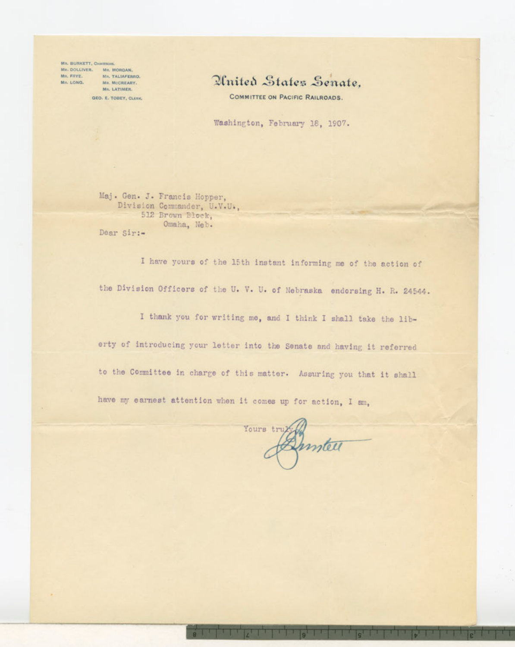Ms. BURKETT, CHARMAN, MR. DOLLIVER. MR. MORGAN. Ma. FRYE. MA, TALIAFERRO.<br>MA, MCCREARY, Mil. LONG. Mn. LATIMER.

GEO. E. TOBEY, CLERK

# Anited States Senate,

COMMITTEE ON PACIFIC RAILROADS.

Washington, February 18, 1907.

Maj. Gen. J. Francis Hopper, Division Commander, U.V.U., 512 Brown Block, Omaha, Neb. Dear Sir:-

I have yours of the 15th instant informing me of the action of

the Division Officers of the U. V. U. of Nebraska endorsing H. R. 24544.

I thank you for writing me, and I think I shall take the lib-

erty of introducing your letter into the Senate and having it referred

to the Committee in charge of this matter. Assuring you that it shall

have my earnest attention when it comes up for action, I am,

**TALLET IN THE PARTIES** 

Yours tru) imteu

 $\sqrt{a^2 + 1}$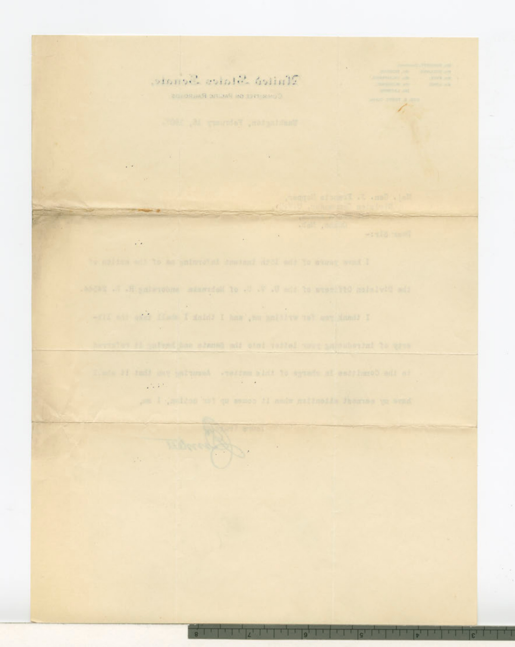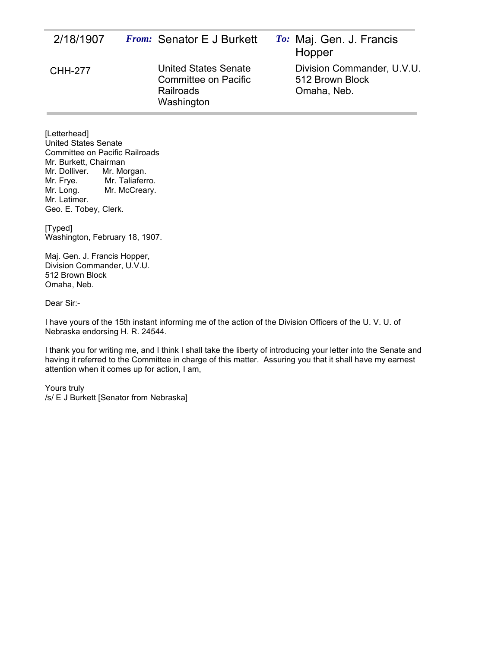| 2/18/1907      | <i>From:</i> Senator E J Burkett                                               | To: Maj. Gen. J. Francis<br>Hopper                           |
|----------------|--------------------------------------------------------------------------------|--------------------------------------------------------------|
| <b>CHH-277</b> | <b>United States Senate</b><br>Committee on Pacific<br>Railroads<br>Washington | Division Commander, U.V.U.<br>512 Brown Block<br>Omaha, Neb. |

[Letterhead] United States Senate Committee on Pacific Railroads Mr. Burkett, Chairman Mr. Dolliver. Mr. Morgan. Mr. Frye. Mr. Taliaferro. Mr. Long. Mr. McCreary. Mr. Latimer. Geo. E. Tobey, Clerk.

[Typed] Washington, February 18, 1907.

Maj. Gen. J. Francis Hopper, Division Commander, U.V.U. 512 Brown Block Omaha, Neb.

Dear Sir:-

I have yours of the 15th instant informing me of the action of the Division Officers of the U. V. U. of Nebraska endorsing H. R. 24544.

I thank you for writing me, and I think I shall take the liberty of introducing your letter into the Senate and having it referred to the Committee in charge of this matter. Assuring you that it shall have my earnest attention when it comes up for action, I am,

Yours truly /s/ E J Burkett [Senator from Nebraska]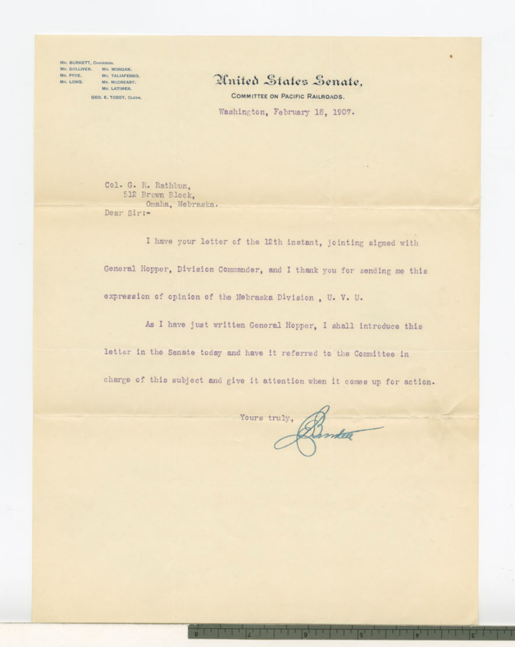MIL BURKETT, CHAIRMAN MR. DOLLIVER. MR. MORGAN. MR. TALIAFERRO.<br>MR. MCCREARY. Mn. FRYE. MR. LONG. MR. LATIMER. GEO. E. TOBEY, CLERK.

## Anited States Senate.

COMMITTEE ON PACIFIC RAILROADS. Washington, February 18, 1907.

Col. G. R. Rathbun, 512 Brown Block, Omaha, Nebraska. Dear Sir:-

I have your letter of the 12th instant, jointing signed with General Hopper, Division Commander, and I thank you for sending me this expression of opinion of the Nebraska Division, U. V. U.

As I have just written General Hopper, I shall introduce this

letter in the Senate today and have it referred to the Committee in

charge of this subject and give it attention when it comes up for action.

Yours truly, Dandet

 $\sqrt{2}$ 

 $\overline{c}$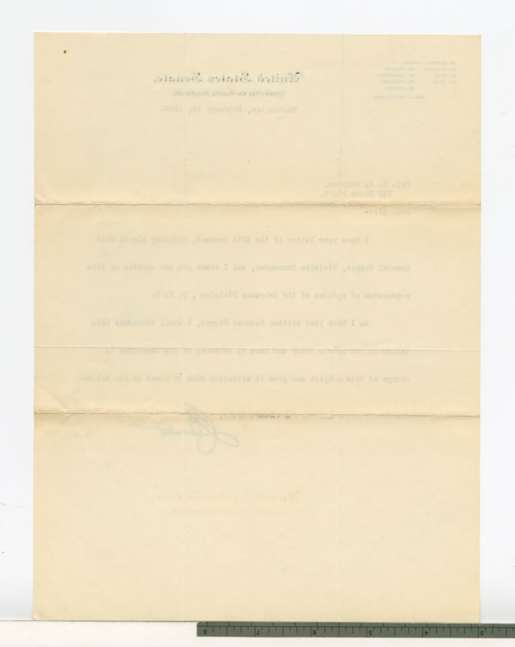### Shange shale somale

٠

COMMITTEE ON PACIFIC RAILRO JE

The in the weaker of the made at flow?

I have recently putted by a trial instead, and in putting of the second in

inelful net qu'amme fi main molinaisme l'avig mon desiglie aide le squade

 $B$ 

With the Distribution

<u>The set of the set of the set of the set of the set of the set of the set of the set of the set of the set of the set of the set of the set of the set of the set of the set of the set of the set of the set of the set of t</u>

 $\frac{1}{2}$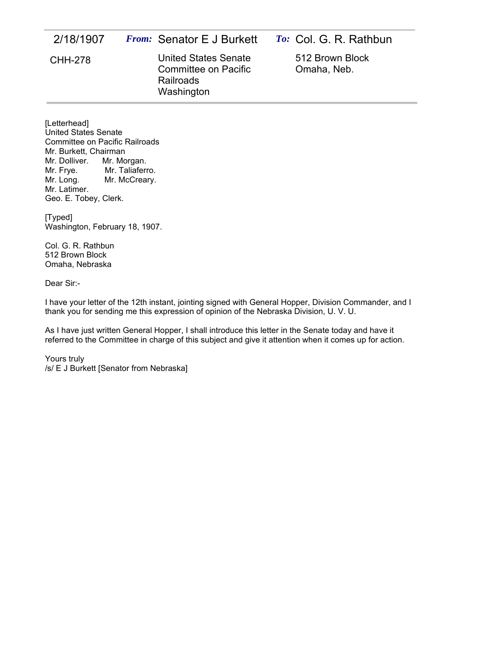| 2/18/1907 | <b>From: Senator E J Burkett</b>                                               | To: Col. G. R. Rathbun         |
|-----------|--------------------------------------------------------------------------------|--------------------------------|
| CHH-278   | United States Senate<br>Committee on Pacific<br><b>Railroads</b><br>Washington | 512 Brown Block<br>Omaha, Neb. |

[Letterhead] United States Senate Committee on Pacific Railroads Mr. Burkett, Chairman Mr. Dolliver. Mr. Morgan. Mr. Frye. Mr. Taliaferro.<br>Mr. Long. Mr. McCreary. Mr. McCreary. Mr. Latimer. Geo. E. Tobey, Clerk.

[Typed] Washington, February 18, 1907.

Col. G. R. Rathbun 512 Brown Block Omaha, Nebraska

Dear Sir:-

I have your letter of the 12th instant, jointing signed with General Hopper, Division Commander, and I thank you for sending me this expression of opinion of the Nebraska Division, U. V. U.

As I have just written General Hopper, I shall introduce this letter in the Senate today and have it referred to the Committee in charge of this subject and give it attention when it comes up for action.

Yours truly /s/ E J Burkett [Senator from Nebraska]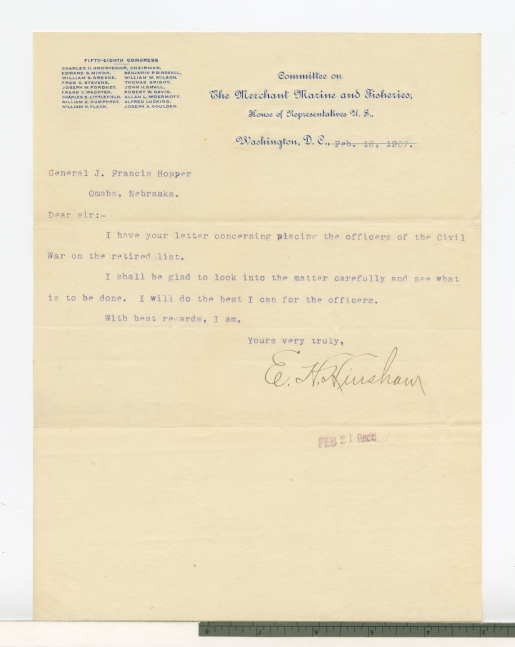#### FIFTY-EIGHTH CONGRESS

CHARLES H. GROSVENOR, CHAIRMAN,<br>
EDWARD S. MINOR. BENJAMIN R BIRDSALL.<br>
WILLIAM S. GREENE. WILLIAM W. WILSON.<br>
FRED C. STEVENS. THOMAS SPIGHT.<br>
JOSEPH W. FORDNEY. JOHN H. SMALL.<br>
CHARK C. WACHTER. ALLAN L. MIDERNOTT.<br>
CHAR

Committee on The Merchant Marine and Fisheries, House of Representatives 2l. S.,

Washington, D.C., Feb. 18, 1907.

General J. Francis Hopper

Omaha, Nebraska.

Dear sir:-

ù.

I have your letter concerning placing the officers of the Civil War on the retired list.

I shall be glad to look into the matter carefully and see what is to be done. I will do the best I can for the officers.

With best re ards, I am,

Yours very truly,

FEB 21 Reco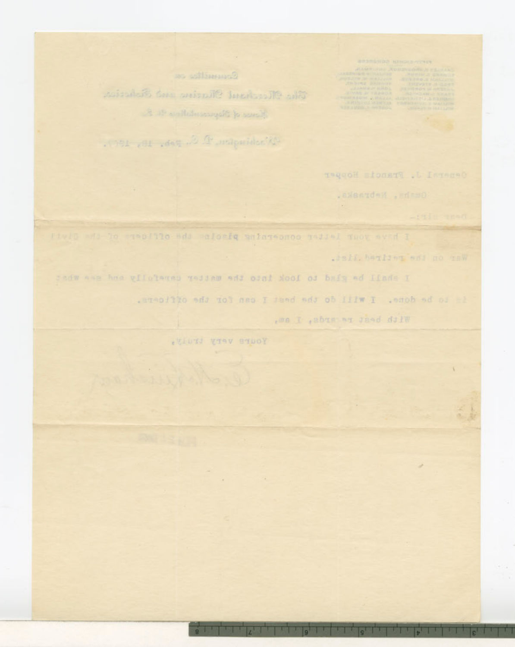**ERSPECTED WINDOWS CONTR** 

**Bounait Bo** car Activitate for writing the increase and these of the presentations it is

Weshington, D.C., gab. 18, 1991.

Tenneral J. Francis Hoppen

.axanzdax .en=mo

x

 $\sim 11$ 

Fivid whi lo -geolilo ada aniasig aniavaonoo gallel guot avad I

. sit. haniing and no maw

I shall be glad to look itse watter using using of the see who t is to be done. I will do the best I can for the officers.

à,

.ms I , abor ar Jaed dilw

 $9$ 

Yours very truby,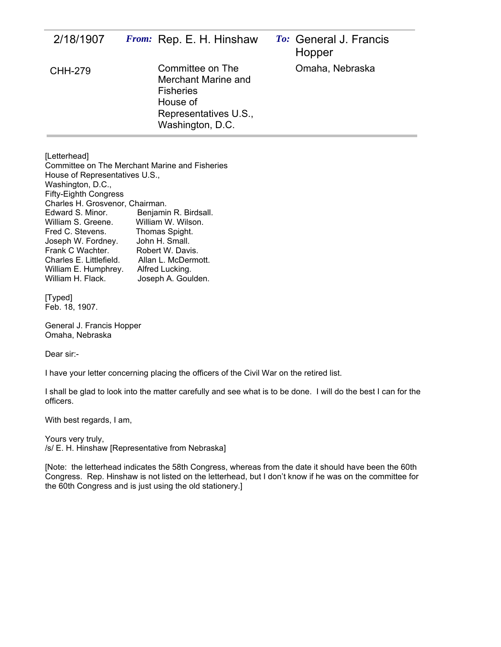| 2/18/1907      | From: Rep. E. H. Hinshaw                                                                                                    | To: General J. Francis<br>Hopper |
|----------------|-----------------------------------------------------------------------------------------------------------------------------|----------------------------------|
| <b>CHH-279</b> | Committee on The<br><b>Merchant Marine and</b><br><b>Fisheries</b><br>House of<br>Representatives U.S.,<br>Washington, D.C. | Omaha, Nebraska                  |

[Letterhead]

Committee on The Merchant Marine and Fisheries House of Representatives U.S., Washington, D.C., Fifty-Eighth Congress Charles H. Grosvenor, Chairman.<br>Edward S. Minor. Beniamin Benjamin R. Birdsall. William S. Greene. William W. Wilson. Fred C. Stevens. Thomas Spight.<br>Joseph W. Fordnev. John H. Small. Joseph W. Fordney. Frank C Wachter. Robert W. Davis. Charles E. Littlefield. Allan L. McDermott. William E. Humphrey. Alfred Lucking. William H. Flack. Joseph A. Goulden.

[Typed] Feb. 18, 1907.

General J. Francis Hopper Omaha, Nebraska

Dear sir:-

I have your letter concerning placing the officers of the Civil War on the retired list.

I shall be glad to look into the matter carefully and see what is to be done. I will do the best I can for the officers.

With best regards, I am,

Yours very truly, /s/ E. H. Hinshaw [Representative from Nebraska]

[Note: the letterhead indicates the 58th Congress, whereas from the date it should have been the 60th Congress. Rep. Hinshaw is not listed on the letterhead, but I don't know if he was on the committee for the 60th Congress and is just using the old stationery.]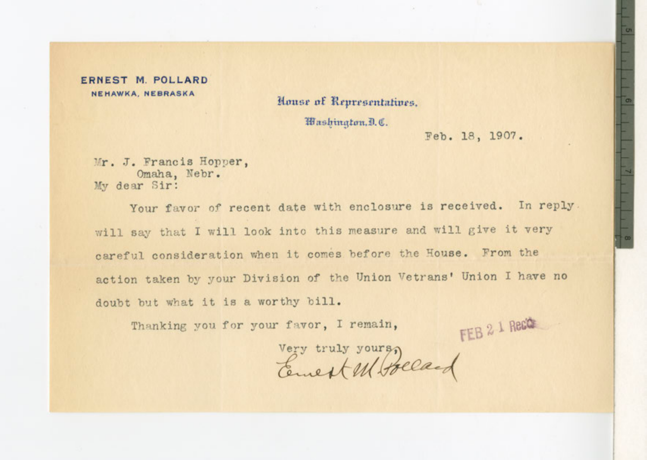**ERNEST M. POLLARD** NEHAWKA, NEBRASKA

House of Representatives.

Washington, D.C.

Feb. 18, 1907.

Mr. J. Francis Hopper, Omaha, Nebr. My dear Sir:

Your favor of recent date with enclosure is received. In reply. will say that I will look into this measure and will give it very careful consideration when it comes before the House. From the action taken by your Division of the Union Vetrans' Union I have no doubt but what it is a worthy bill.

Thanking you for your favor, I remain,

FEB 2 1 Rector

Very truly yours,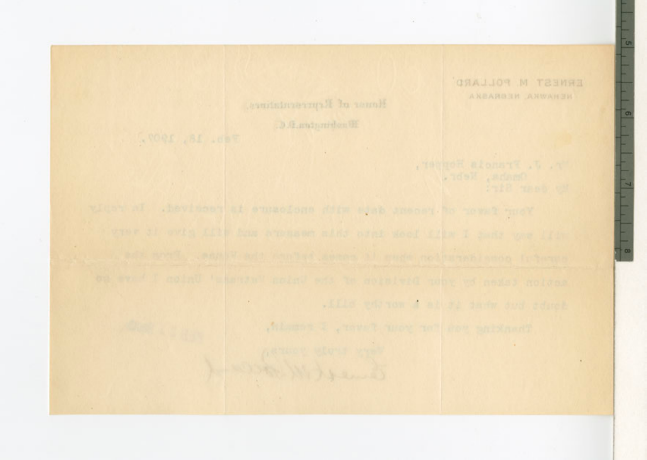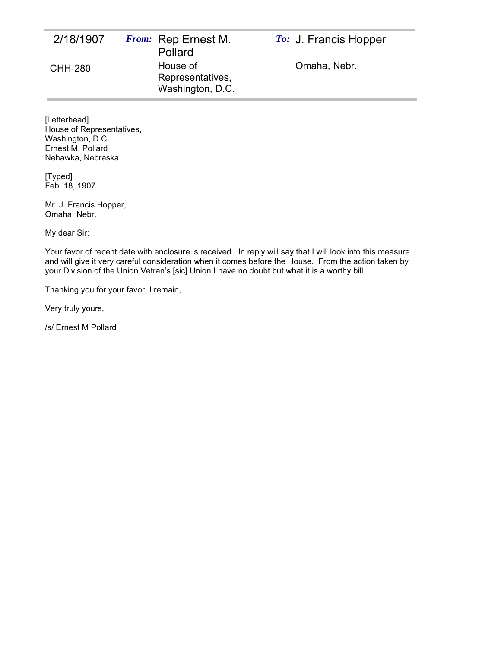| 2/18/1907      | <i>From:</i> Rep Ernest M.<br>Pollard            | To: J. Francis Hopper |
|----------------|--------------------------------------------------|-----------------------|
| <b>CHH-280</b> | House of<br>Representatives,<br>Washington, D.C. | Omaha, Nebr.          |

[Letterhead] House of Representatives, Washington, D.C. Ernest M. Pollard Nehawka, Nebraska

[Typed] Feb. 18, 1907.

Mr. J. Francis Hopper, Omaha, Nebr.

My dear Sir:

Your favor of recent date with enclosure is received. In reply will say that I will look into this measure and will give it very careful consideration when it comes before the House. From the action taken by your Division of the Union Vetran's [sic] Union I have no doubt but what it is a worthy bill.

Thanking you for your favor, I remain,

Very truly yours,

/s/ Ernest M Pollard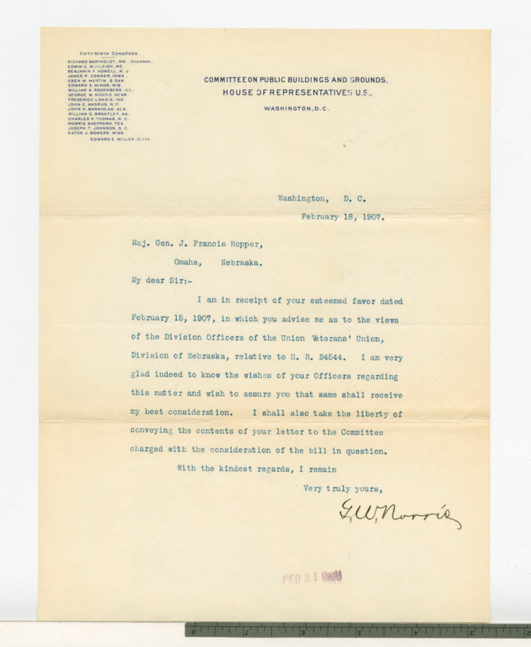### FIFTY-NINTH CONGRESS

RICHARD BARTHOLDT, MO., CHAIRMAN,<br>EDWIN C. BURLEIGH, ME.<br>BENJAMIN F. HOWELL, N.J.<br>JAMES P. CONNER, IOWA.<br>CONARD S. MINOR, WIS.<br>COWARD S. MINOR, WIS.<br>WELLIAM A. ROOCNBERG, ILL.<br>JEORGE W. NORRIS NEBR.<br>FREDERICK LANDIS, NO. JOHN E ANDRUS, N.Y.<br>JOHN H. BANKHEAD, ALA.<br>WILLIAM G. BRANTLEY, GA.<br>CHARLES R. THOMAS, N.C. MORRIS SHEPPARD, TEX.<br>JOSEPH T. JOHNSON, S.C.<br>EATON J. BOWERS, MISS. EDWARD E. MILLER, CLERK

COMMITTEE ON PUBLIC BUILDINGS AND GROUNDS. HOUSE OF REPRESENTATIVES U.S.

WASHINGTON.D.C.

Washington, D. C. February 18, 1907.

Maj. Gen. J. Francis Hopper, Omaha, Nebraska. My dear Sir :-

I am in receipt of your esteemed favor dated February 15, 1907, in which you advise me as to the views of the Division Officers of the Union Weterans' Union, Division of Nebraska, relative to H. R. 24544. I am very glad indeed to know the wishes of your Officers regarding this matter and wish to assure you that same shall receive my best consideration. I shall also take the liberty of conveying the contents of your letter to the Committee charged with the consideration of the bill in question.

With the kindest regards, I remain

Very truly yours.

Gurnorrie

#FR 21 開眼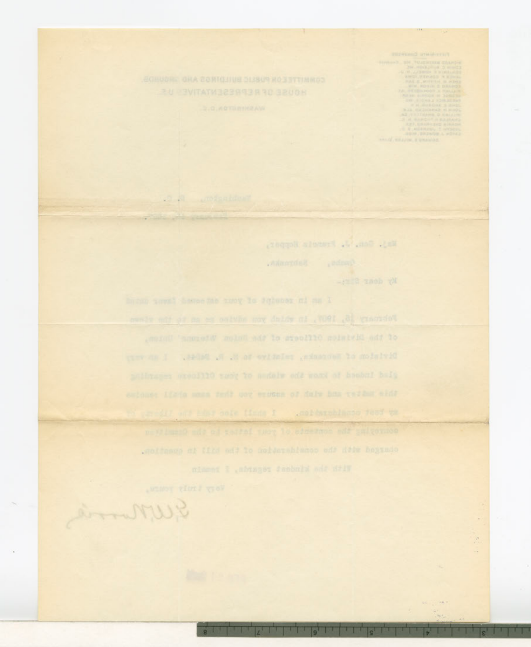in a profession

**WH. PUACHYMER** .... of whatim is unawher

 $\lambda$ 

 $\mathcal{P}$ ä,

request alument of most lime . Ananydell . . . adamy

 $|e|$ 

Brinings of Remarks, relative to B. R. R. L. Meleti, I am very week! within ooks finds I wanternateso feed or .goffasyo at this and to notionablence off dide beginde

Gummin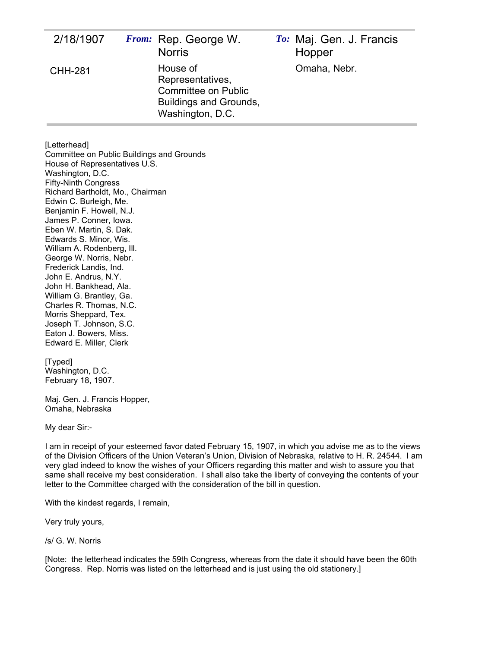| 2/18/1907      | <i>From:</i> Rep. George W.<br><b>Norris</b>                                                             | To: Maj. Gen. J. Francis<br>Hopper |
|----------------|----------------------------------------------------------------------------------------------------------|------------------------------------|
| <b>CHH-281</b> | House of<br>Representatives,<br><b>Committee on Public</b><br>Buildings and Grounds,<br>Washington, D.C. | Omaha, Nebr.                       |

[Letterhead]

Committee on Public Buildings and Grounds House of Representatives U.S. Washington, D.C. Fifty-Ninth Congress Richard Bartholdt, Mo., Chairman Edwin C. Burleigh, Me. Benjamin F. Howell, N.J. James P. Conner, Iowa. Eben W. Martin, S. Dak. Edwards S. Minor, Wis. William A. Rodenberg, Ill. George W. Norris, Nebr. Frederick Landis, Ind. John E. Andrus, N.Y. John H. Bankhead, Ala. William G. Brantley, Ga. Charles R. Thomas, N.C. Morris Sheppard, Tex. Joseph T. Johnson, S.C. Eaton J. Bowers, Miss. Edward E. Miller, Clerk

[Typed] Washington, D.C. February 18, 1907.

Maj. Gen. J. Francis Hopper, Omaha, Nebraska

My dear Sir:-

I am in receipt of your esteemed favor dated February 15, 1907, in which you advise me as to the views of the Division Officers of the Union Veteran's Union, Division of Nebraska, relative to H. R. 24544. I am very glad indeed to know the wishes of your Officers regarding this matter and wish to assure you that same shall receive my best consideration. I shall also take the liberty of conveying the contents of your letter to the Committee charged with the consideration of the bill in question.

With the kindest regards, I remain,

Very truly yours,

/s/ G. W. Norris

[Note: the letterhead indicates the 59th Congress, whereas from the date it should have been the 60th Congress. Rep. Norris was listed on the letterhead and is just using the old stationery.]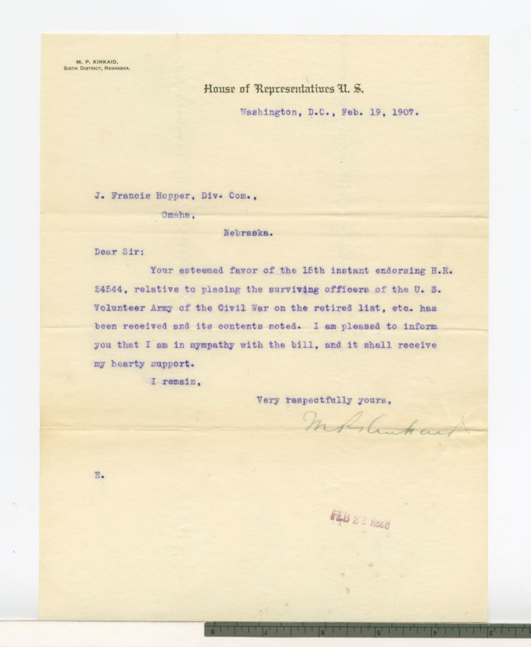M. P. KINKAID, **SIXTH DISTRICT, NEBRASKA.** 

House of Representatives U.S.

Washington, D.C., Feb. 19, 1907.

J. Francis Hopper, Div. Com.,

Omaha.

Nebraska.

Dear Sir:

Your esteemed favor of the 15th instant endorsing H.R. 24544, relative to placing the surviving officers of the U.S. Volunteer Army of the Civil War on the retired list, etc. has been received and its contents noted. I am pleased to inform you that I am in sympathy with the bill, and it shall receive my hearty support.

I remain.

Very respectfully yours,

mplanhaut

FEB 22 HEEB

 $E -$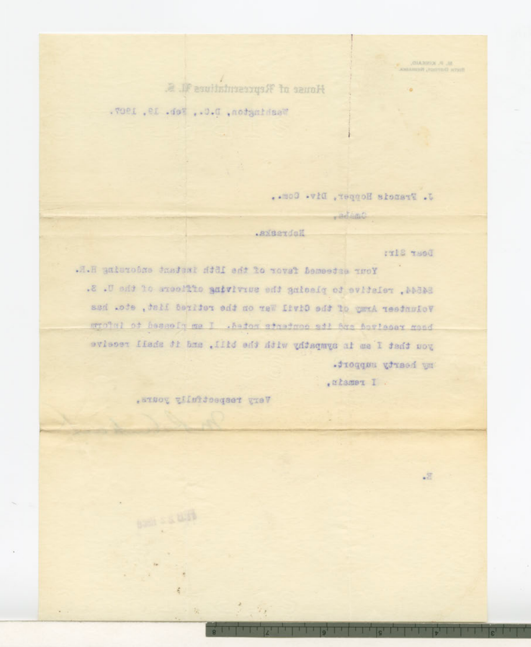$\label{eq:1} \underbrace{M_{\rm{c}}\otimes\mathcal{N}_{\rm{N}}\otimes\mathcal{N}_{\rm{N}}\otimes\mathcal{N}_{\rm{N}}\otimes\mathcal{N}_{\rm{N}}}}_{\text{Higgs and }N}\underbrace{M_{\rm{N}}\otimes\mathcal{N}_{\rm{N}}\otimes\mathcal{N}_{\rm{N}}\otimes\mathcal{N}_{\rm{N}}\otimes\mathcal{N}_{\rm{N}}\otimes\mathcal{N}_{\rm{N}}\otimes\mathcal{N}_{\rm{N}}\otimes\mathcal{N}_{\rm{N}}\otimes\mathcal{N}_{\rm{N}}\otimes\mathcal{N}_{\rm{N$ 

Hause of Representatives W. S. Weshington, D.C., Feb. 19, 1907.

J. Francis Hopper, Div. Com.,

adamo

.solserdal

Dear Sir:

 $\sqrt{21}$ 

Your satewed fand it the 15th instant endorsing H.R. E4544, relative to pleaing the surviving officers of the U. S. work and are of the Civil Wer on the retired list, etc. has been received sta its enntents noted. I am plessed to inform you that I am in aympathy with the bill, and it shall receive my hearty support.

. Misman I .

Very tespectfully yours.

Basil s & Wife

é,

 $\mathbb{R}$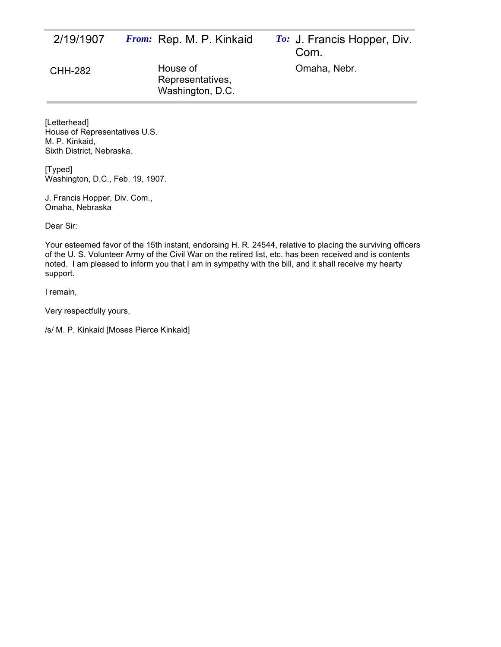| 2/19/1907      | From: Rep. M. P. Kinkaid                         | To: J. Francis Hopper, Div.<br>Com. |
|----------------|--------------------------------------------------|-------------------------------------|
| <b>CHH-282</b> | House of<br>Representatives,<br>Washington, D.C. | Omaha, Nebr.                        |
|                |                                                  |                                     |

[Letterhead] House of Representatives U.S. M. P. Kinkaid, Sixth District, Nebraska.

[Typed] Washington, D.C., Feb. 19, 1907.

J. Francis Hopper, Div. Com., Omaha, Nebraska

Dear Sir:

Your esteemed favor of the 15th instant, endorsing H. R. 24544, relative to placing the surviving officers of the U. S. Volunteer Army of the Civil War on the retired list, etc. has been received and is contents noted. I am pleased to inform you that I am in sympathy with the bill, and it shall receive my hearty support.

I remain,

Very respectfully yours,

/s/ M. P. Kinkaid [Moses Pierce Kinkaid]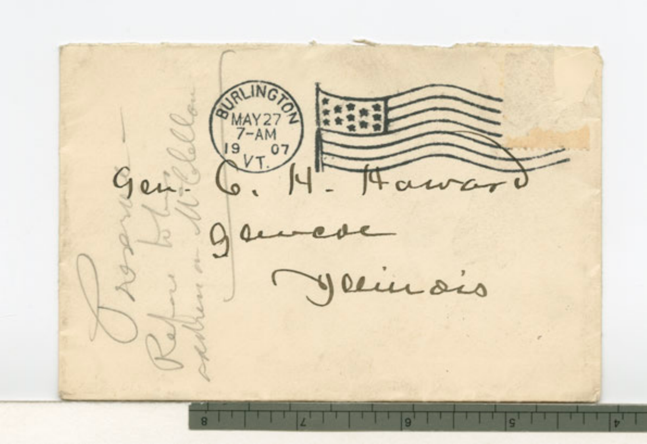einsis